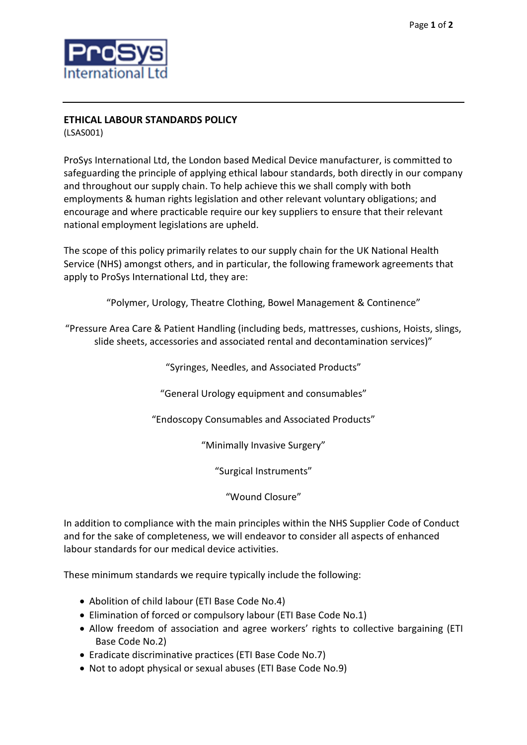

## **ETHICAL LABOUR STANDARDS POLICY**

(LSAS001)

ProSys International Ltd, the London based Medical Device manufacturer, is committed to safeguarding the principle of applying ethical labour standards, both directly in our company and throughout our supply chain. To help achieve this we shall comply with both employments & human rights legislation and other relevant voluntary obligations; and encourage and where practicable require our key suppliers to ensure that their relevant national employment legislations are upheld.

The scope of this policy primarily relates to our supply chain for the UK National Health Service (NHS) amongst others, and in particular, the following framework agreements that apply to ProSys International Ltd, they are:

"Polymer, Urology, Theatre Clothing, Bowel Management & Continence"

"Pressure Area Care & Patient Handling (including beds, mattresses, cushions, Hoists, slings, slide sheets, accessories and associated rental and decontamination services)"

"Syringes, Needles, and Associated Products"

"General Urology equipment and consumables"

"Endoscopy Consumables and Associated Products"

"Minimally Invasive Surgery"

"Surgical Instruments"

"Wound Closure"

In addition to compliance with the main principles within the NHS Supplier Code of Conduct and for the sake of completeness, we will endeavor to consider all aspects of enhanced labour standards for our medical device activities.

These minimum standards we require typically include the following:

- Abolition of child labour (ETI Base Code No.4)
- Elimination of forced or compulsory labour (ETI Base Code No.1)
- Allow freedom of association and agree workers' rights to collective bargaining (ETI Base Code No.2)
- Eradicate discriminative practices (ETI Base Code No.7)
- Not to adopt physical or sexual abuses (ETI Base Code No.9)